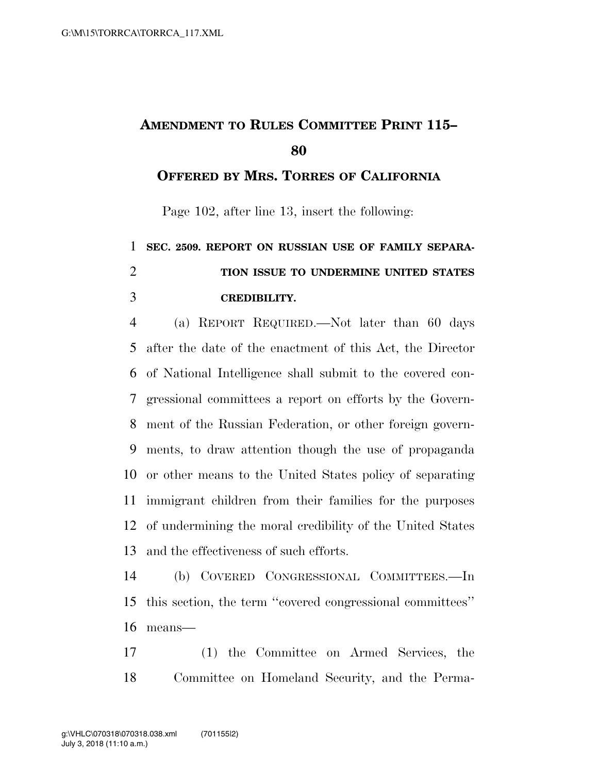## **AMENDMENT TO RULES COMMITTEE PRINT 115–**

**OFFERED BY MRS. TORRES OF CALIFORNIA**

Page 102, after line 13, insert the following:

## **SEC. 2509. REPORT ON RUSSIAN USE OF FAMILY SEPARA- TION ISSUE TO UNDERMINE UNITED STATES CREDIBILITY.**

 (a) REPORT REQUIRED.—Not later than 60 days after the date of the enactment of this Act, the Director of National Intelligence shall submit to the covered con- gressional committees a report on efforts by the Govern- ment of the Russian Federation, or other foreign govern- ments, to draw attention though the use of propaganda or other means to the United States policy of separating immigrant children from their families for the purposes of undermining the moral credibility of the United States and the effectiveness of such efforts.

 (b) COVERED CONGRESSIONAL COMMITTEES.—In this section, the term ''covered congressional committees'' means—

 (1) the Committee on Armed Services, the Committee on Homeland Security, and the Perma-